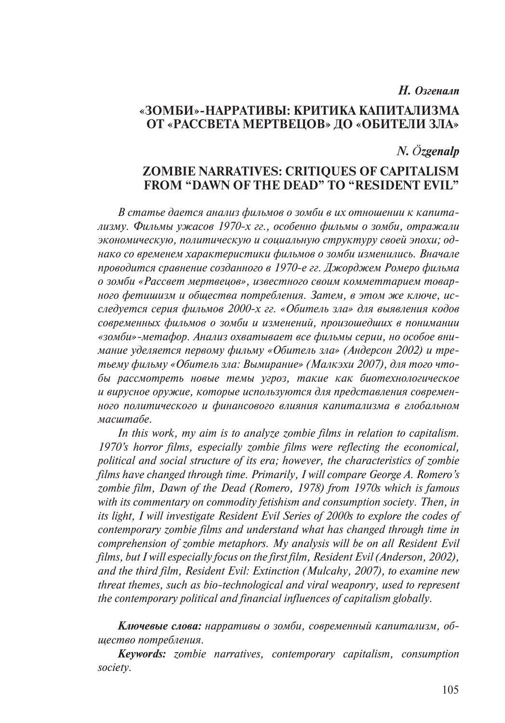#### *Н. Озгеналп*

# **«ЗОМБИ»-НАРРАТИВЫ: КРИТИКА КАПИТАЛИЗМА ОТ «РАССВЕТА МЕРТВЕЦОВ» ДО «ОБИТЕЛИ ЗЛА»**

#### *N. Özgenalp*

# **ZOMBIE NARRATIVES: CRITIQUES OF CAPITALISM FROM "DAWN OF THE DEAD" TO "RESIDENT EVIL"**

*В статье дается анализ фильмов о зомби в их отношении к капитализму. Фильмы ужасов 1970-х гг., особенно фильмы о зомби, отражали экономическую, политическую и социальную структуру своей эпохи; однако со временем характеристики фильмов о зомби изменились. Вначале проводится сравнение созданного в 1970-е гг. Джорджем Ромеро фильма о зомби «Рассвет мертвецов», известного своим комметтарием товарного фетишизм и общества потребления. Затем, в этом же ключе, исследуется серия фильмов 2000-х гг. «Обитель зла» для выявления кодов современных фильмов о зомби и изменений, произошедших в понимании «зомби»-метафор. Анализ охватывает все фильмы серии, но особое внимание уделяется первому фильму «Обитель зла» (Андерсон 2002) и третьему фильму «Обитель зла: Вымирание» (Малкэхи 2007), для того чтобы рассмотреть новые темы угроз, такие как биотехнологическое и вирусное оружие, которые используются для представления современного политического и финансового влияния капитализма в глобальном масштабе.*

*In this work, my aim is to analyze zombie films in relation to capitalism. 1970's horror films, especially zombie films were reflecting the economical, political and social structure of its era; however, the characteristics of zombie films have changed through time. Primarily, I will compare George A. Romero's zombie film, Dawn of the Dead (Romero, 1978) from 1970s which is famous with its commentary on commodity fetishism and consumption society. Then, in its light, I will investigate Resident Evil Series of 2000s to explore the codes of contemporary zombie films and understand what has changed through time in comprehension of zombie metaphors. My analysis will be on all Resident Evil films, but I will especially focus on the first film, Resident Evil (Anderson, 2002), and the third film, Resident Evil: Extinction (Mulcahy, 2007), to examine new threat themes, such as bio-technological and viral weaponry, used to represent the contemporary political and financial influences of capitalism globally.*

*Ключевые слова: нарративы о зомби, современный капитализм, общество потребления.*

*Keywords: zombie narratives, contemporary capitalism, consumption society.*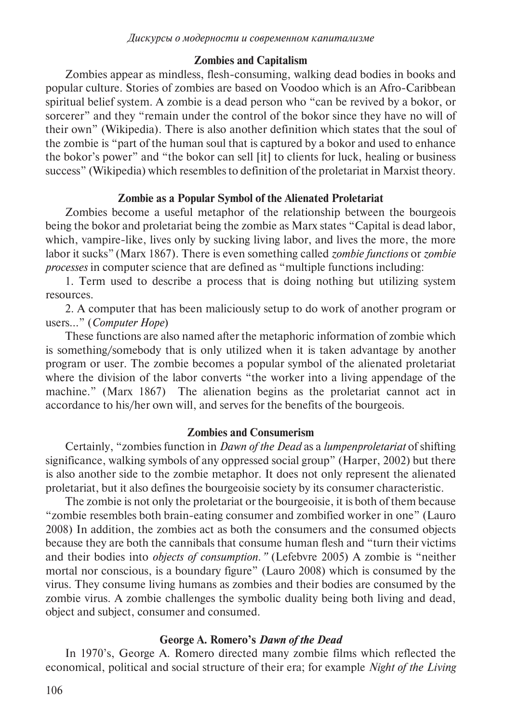# **Zombies and Capitalism**

Zombies appear as mindless, flesh-consuming, walking dead bodies in books and popular culture. Stories of zombies are based on Voodoo which is an Afro-Caribbean spiritual belief system. A zombie is a dead person who "can be revived by a bokor, or sorcerer" and they "remain under the control of the bokor since they have no will of their own" (Wikipedia). There is also another definition which states that the soul of the zombie is "part of the human soul that is captured by a bokor and used to enhance the bokor's power" and "the bokor can sell [it] to clients for luck, healing or business success" (Wikipedia) which resembles to definition of the proletariat in Marxist theory.

# **Zombie as a Popular Symbol of the Alienated Proletariat**

Zombies become a useful metaphor of the relationship between the bourgeois being the bokor and proletariat being the zombie as Marx states "Capital is dead labor, which, vampire-like, lives only by sucking living labor, and lives the more, the more labor it sucks" (Marx 1867). There is even something called *zombie functions* or *zombie processes* in computer science that are defined as "multiple functions including:

1. Term used to describe a process that is doing nothing but utilizing system resources.

2. A computer that has been maliciously setup to do work of another program or users…" (*Computer Hope*)

These functions are also named after the metaphoric information of zombie which is something/somebody that is only utilized when it is taken advantage by another program or user. The zombie becomes a popular symbol of the alienated proletariat where the division of the labor converts "the worker into a living appendage of the machine." (Marx 1867) The alienation begins as the proletariat cannot act in accordance to his/her own will, and serves for the benefits of the bourgeois.

## **Zombies and Consumerism**

Certainly, "zombies function in *Dawn of the Dead* as a *lumpenproletariat* of shifting significance, walking symbols of any oppressed social group" (Harper, 2002) but there is also another side to the zombie metaphor. It does not only represent the alienated proletariat, but it also defines the bourgeoisie society by its consumer characteristic.

The zombie is not only the proletariat or the bourgeoisie, it is both of them because "zombie resembles both brain-eating consumer and zombified worker in one" (Lauro 2008) In addition, the zombies act as both the consumers and the consumed objects because they are both the cannibals that consume human flesh and "turn their victims and their bodies into *objects of consumption."* (Lefebvre 2005) A zombie is "neither mortal nor conscious, is a boundary figure" (Lauro 2008) which is consumed by the virus. They consume living humans as zombies and their bodies are consumed by the zombie virus. A zombie challenges the symbolic duality being both living and dead, object and subject, consumer and consumed.

# **George A. Romero's** *Dawn of the Dead*

In 1970's, George A. Romero directed many zombie films which reflected the economical, political and social structure of their era; for example *Night of the Living*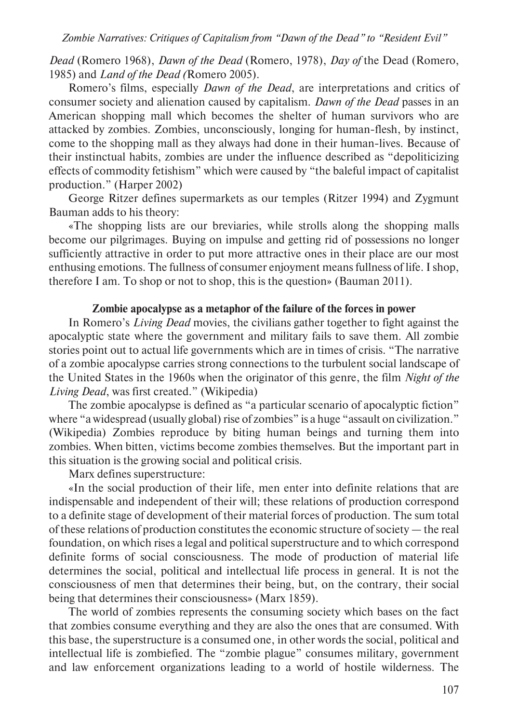*Dead* (Romero 1968), *Dawn of the Dead* (Romero, 1978), *Day of* the Dead (Romero, 1985) and *Land of the Dead (*Romero 2005).

Romero's films, especially *Dawn of the Dead*, are interpretations and critics of consumer society and alienation caused by capitalism. *Dawn of the Dead* passes in an American shopping mall which becomes the shelter of human survivors who are attacked by zombies. Zombies, unconsciously, longing for human-flesh, by instinct, come to the shopping mall as they always had done in their human-lives. Because of their instinctual habits, zombies are under the influence described as "depoliticizing effects of commodity fetishism" which were caused by "the baleful impact of capitalist production." (Harper 2002)

George Ritzer defines supermarkets as our temples (Ritzer 1994) and Zygmunt Bauman adds to his theory:

«The shopping lists are our breviaries, while strolls along the shopping malls become our pilgrimages. Buying on impulse and getting rid of possessions no longer sufficiently attractive in order to put more attractive ones in their place are our most enthusing emotions. The fullness of consumer enjoyment means fullness of life. I shop, therefore I am. To shop or not to shop, this is the question» (Bauman 2011).

#### **Zombie apocalypse as a metaphor of the failure of the forces in power**

In Romero's *Living Dead* movies, the civilians gather together to fight against the apocalyptic state where the government and military fails to save them. All zombie stories point out to actual life governments which are in times of crisis. "The narrative of a zombie apocalypse carries strong connections to the turbulent social landscape of the United States in the 1960s when the originator of this genre, the film *Night of the Living Dead*, was first created." (Wikipedia)

The zombie apocalypse is defined as "a particular scenario of apocalyptic fiction" where "a widespread (usually global) rise of zombies" is a huge "assault on civilization." (Wikipedia) Zombies reproduce by biting human beings and turning them into zombies. When bitten, victims become zombies themselves. But the important part in this situation is the growing social and political crisis.

Marx defines superstructure:

«In the social production of their life, men enter into definite relations that are indispensable and independent of their will; these relations of production correspond to a definite stage of development of their material forces of production. The sum total of these relations of production constitutes the economic structure of society — the real foundation, on which rises a legal and political superstructure and to which correspond definite forms of social consciousness. The mode of production of material life determines the social, political and intellectual life process in general. It is not the consciousness of men that determines their being, but, on the contrary, their social being that determines their consciousness» (Marx 1859).

The world of zombies represents the consuming society which bases on the fact that zombies consume everything and they are also the ones that are consumed. With this base, the superstructure is a consumed one, in other words the social, political and intellectual life is zombiefied. The "zombie plague" consumes military, government and law enforcement organizations leading to a world of hostile wilderness. The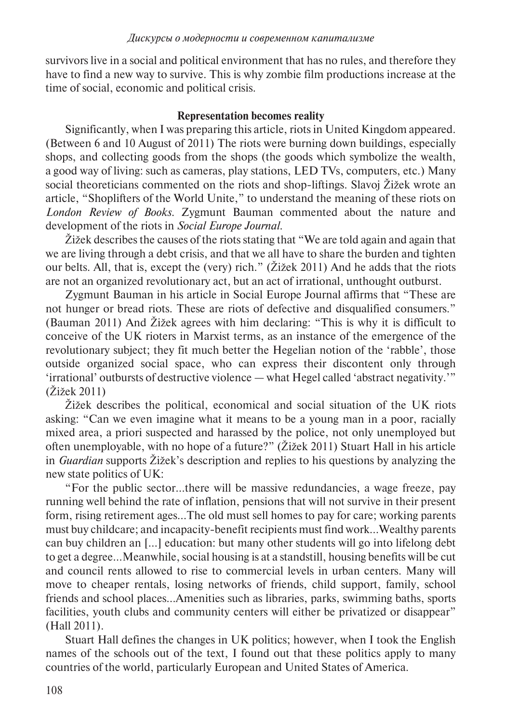survivors live in a social and political environment that has no rules, and therefore they have to find a new way to survive. This is why zombie film productions increase at the time of social, economic and political crisis.

# **Representation becomes reality**

Significantly, when I was preparing this article, riots in United Kingdom appeared. (Between 6 and 10 August of 2011) The riots were burning down buildings, especially shops, and collecting goods from the shops (the goods which symbolize the wealth, a good way of living: such as cameras, play stations, LED TVs, computers, etc.) Many social theoreticians commented on the riots and shop-liftings. Slavoj Žižek wrote an article, "Shoplifters of the World Unite," to understand the meaning of these riots on *London Review of Books*. Zygmunt Bauman commented about the nature and development of the riots in *Social Europe Journal*.

Žižek describes the causes of the riots stating that "We are told again and again that we are living through a debt crisis, and that we all have to share the burden and tighten our belts. All, that is, except the (very) rich." (Žižek 2011) And he adds that the riots are not an organized revolutionary act, but an act of irrational, unthought outburst.

Zygmunt Bauman in his article in Social Europe Journal affirms that "These are not hunger or bread riots. These are riots of defective and disqualified consumers." (Bauman 2011) And Žižek agrees with him declaring: "This is why it is difficult to conceive of the UK rioters in Marxist terms, as an instance of the emergence of the revolutionary subject; they fit much better the Hegelian notion of the 'rabble', those outside organized social space, who can express their discontent only through 'irrational' outbursts of destructive violence — what Hegel called 'abstract negativity.'" (Žižek 2011)

Žižek describes the political, economical and social situation of the UK riots asking: "Can we even imagine what it means to be a young man in a poor, racially mixed area, a priori suspected and harassed by the police, not only unemployed but often unemployable, with no hope of a future?" (Žižek 2011) Stuart Hall in his article in *Guardian* supports Žižek's description and replies to his questions by analyzing the new state politics of UK:

"For the public sector…there will be massive redundancies, a wage freeze, pay running well behind the rate of inflation, pensions that will not survive in their present form, rising retirement ages…The old must sell homes to pay for care; working parents must buy childcare; and incapacity-benefit recipients must find work…Wealthy parents can buy children an […] education: but many other students will go into lifelong debt to get a degree…Meanwhile, social housing is at a standstill, housing benefits will be cut and council rents allowed to rise to commercial levels in urban centers. Many will move to cheaper rentals, losing networks of friends, child support, family, school friends and school places…Amenities such as libraries, parks, swimming baths, sports facilities, youth clubs and community centers will either be privatized or disappear" (Hall 2011).

Stuart Hall defines the changes in UK politics; however, when I took the English names of the schools out of the text, I found out that these politics apply to many countries of the world, particularly European and United States of America.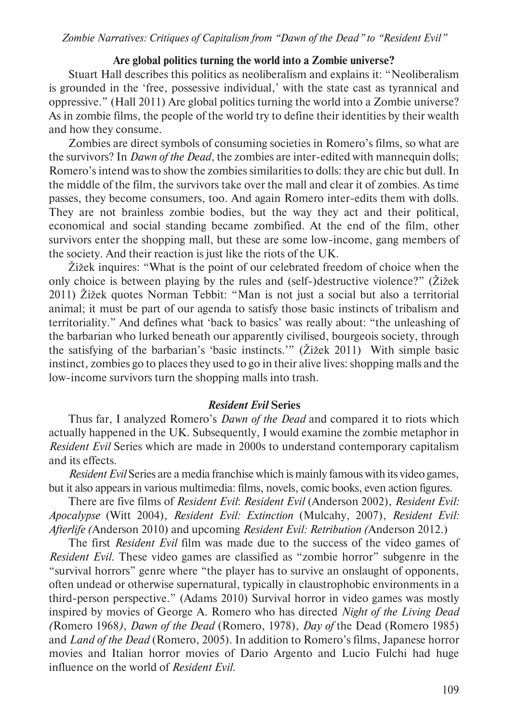# **Are global politics turning the world into a Zombie universe?**

Stuart Hall describes this politics as neoliberalism and explains it: "Neoliberalism is grounded in the 'free, possessive individual,' with the state cast as tyrannical and oppressive." (Hall 2011) Are global politics turning the world into a Zombie universe? As in zombie films, the people of the world try to define their identities by their wealth and how they consume.

Zombies are direct symbols of consuming societies in Romero's films, so what are the survivors? In *Dawn of the Dead*, the zombies are inter-edited with mannequin dolls; Romero's intend was to show the zombies similarities to dolls: they are chic but dull. In the middle of the film, the survivors take over the mall and clear it of zombies. As time passes, they become consumers, too. And again Romero inter-edits them with dolls. They are not brainless zombie bodies, but the way they act and their political, economical and social standing became zombified. At the end of the film, other survivors enter the shopping mall, but these are some low-income, gang members of the society. And their reaction is just like the riots of the UK.

Žižek inquires: "What is the point of our celebrated freedom of choice when the only choice is between playing by the rules and (self-)destructive violence?" (Žižek 2011) Žižek quotes Norman Tebbit: "Man is not just a social but also a territorial animal; it must be part of our agenda to satisfy those basic instincts of tribalism and territoriality." And defines what 'back to basics' was really about: "the unleashing of the barbarian who lurked beneath our apparently civilised, bourgeois society, through the satisfying of the barbarian's 'basic instincts.'" (Žižek 2011) With simple basic instinct, zombies go to places they used to go in their alive lives: shopping malls and the low-income survivors turn the shopping malls into trash.

## *Resident Evil* **Series**

Thus far, I analyzed Romero's *Dawn of the Dead* and compared it to riots which actually happened in the UK. Subsequently, I would examine the zombie metaphor in *Resident Evil* Series which are made in 2000s to understand contemporary capitalism and its effects.

*Resident Evil* Series are a media franchise which is mainly famous with its video games, but it also appears in various multimedia: films, novels, comic books, even action figures.

There are five films of *Resident Evil*: *Resident Evil* (Anderson 2002), *Resident Evil: Apocalypse* (Witt 2004)*, Resident Evil: Extinction* (Mulcahy, 2007), *Resident Evil: Afterlife (*Anderson 2010) and upcoming *Resident Evil: Retribution (*Anderson 2012.)

The first *Resident Evil* film was made due to the success of the video games of *Resident Evil*. These video games are classified as "zombie horror" subgenre in the "survival horrors" genre where "the player has to survive an onslaught of opponents, often undead or otherwise supernatural, typically in claustrophobic environments in a third-person perspective." (Adams 2010) Survival horror in video games was mostly inspired by movies of George A. Romero who has directed *Night of the Living Dead (*Romero 1968*)*, *Dawn of the Dead* (Romero, 1978), *Day of* the Dead (Romero 1985) and *Land of the Dead* (Romero, 2005). In addition to Romero's films, Japanese horror movies and Italian horror movies of Dario Argento and Lucio Fulchi had huge influence on the world of *Resident Evil*.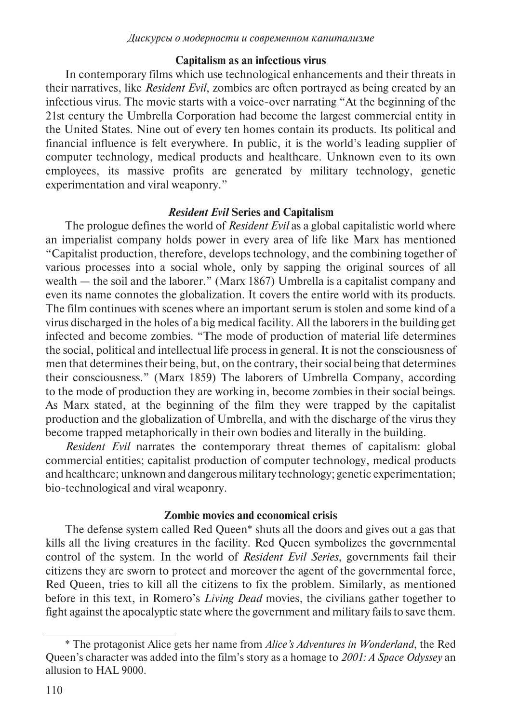#### **Capitalism as an infectious virus**

In contemporary films which use technological enhancements and their threats in their narratives, like *Resident Evil*, zombies are often portrayed as being created by an infectious virus. The movie starts with a voice-over narrating "At the beginning of the 21st century the Umbrella Corporation had become the largest commercial entity in the United States. Nine out of every ten homes contain its products. Its political and financial influence is felt everywhere. In public, it is the world's leading supplier of computer technology, medical products and healthcare. Unknown even to its own employees, its massive profits are generated by military technology, genetic experimentation and viral weaponry."

## *Resident Evil* **Series and Capitalism**

The prologue defines the world of *Resident Evil* as a global capitalistic world where an imperialist company holds power in every area of life like Marx has mentioned "Capitalist production, therefore, develops technology, and the combining together of various processes into a social whole, only by sapping the original sources of all wealth — the soil and the laborer." (Marx 1867) Umbrella is a capitalist company and even its name connotes the globalization. It covers the entire world with its products. The film continues with scenes where an important serum is stolen and some kind of a virus discharged in the holes of a big medical facility. All the laborers in the building get infected and become zombies. "The mode of production of material life determines the social, political and intellectual life process in general. It is not the consciousness of men that determines their being, but, on the contrary, their social being that determines their consciousness." (Marx 1859) The laborers of Umbrella Company, according to the mode of production they are working in, become zombies in their social beings. As Marx stated, at the beginning of the film they were trapped by the capitalist production and the globalization of Umbrella, and with the discharge of the virus they become trapped metaphorically in their own bodies and literally in the building.

*Resident Evil* narrates the contemporary threat themes of capitalism: global commercial entities; capitalist production of computer technology, medical products and healthcare; unknown and dangerous military technology; genetic experimentation; bio-technological and viral weaponry.

## **Zombie movies and economical crisis**

The defense system called Red Queen\* shuts all the doors and gives out a gas that kills all the living creatures in the facility. Red Queen symbolizes the governmental control of the system. In the world of *Resident Evil Series*, governments fail their citizens they are sworn to protect and moreover the agent of the governmental force, Red Queen, tries to kill all the citizens to fix the problem. Similarly, as mentioned before in this text, in Romero's *Living Dead* movies, the civilians gather together to fight against the apocalyptic state where the government and military fails to save them.

<sup>\*</sup> The protagonist Alice gets her name from *Alice's Adventures in Wonderland*, the Red Queen's character was added into the film's story as a homage to *2001: A Space Odyssey* an allusion to HAL 9000.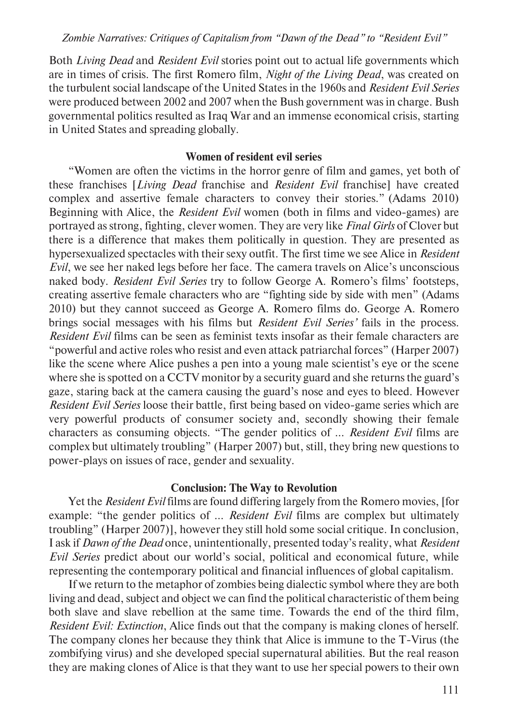Both *Living Dead* and *Resident Evil* stories point out to actual life governments which are in times of crisis. The first Romero film, *Night of the Living Dead*, was created on the turbulent social landscape of the United States in the 1960s and *Resident Evil Series* were produced between 2002 and 2007 when the Bush government was in charge. Bush governmental politics resulted as Iraq War and an immense economical crisis, starting in United States and spreading globally.

#### **Women of resident evil series**

"Women are often the victims in the horror genre of film and games, yet both of these franchises [*Living Dead* franchise and *Resident Evil* franchise] have created complex and assertive female characters to convey their stories." (Adams 2010) Beginning with Alice, the *Resident Evil* women (both in films and video-games) are portrayed as strong, fighting, clever women. They are very like *Final Girls* of Clover but there is a difference that makes them politically in question. They are presented as hypersexualized spectacles with their sexy outfit. The first time we see Alice in *Resident Evil*, we see her naked legs before her face. The camera travels on Alice's unconscious naked body. *Resident Evil Series* try to follow George A. Romero's films' footsteps, creating assertive female characters who are "fighting side by side with men" (Adams 2010) but they cannot succeed as George A. Romero films do. George A. Romero brings social messages with his films but *Resident Evil Series'* fails in the process. *Resident Evil* films can be seen as feminist texts insofar as their female characters are "powerful and active roles who resist and even attack patriarchal forces" (Harper 2007) like the scene where Alice pushes a pen into a young male scientist's eye or the scene where she is spotted on a CCTV monitor by a security guard and she returns the guard's gaze, staring back at the camera causing the guard's nose and eyes to bleed. However *Resident Evil Series* loose their battle, first being based on video-game series which are very powerful products of consumer society and, secondly showing their female characters as consuming objects. "The gender politics of … *Resident Evil* films are complex but ultimately troubling" (Harper 2007) but, still, they bring new questions to power-plays on issues of race, gender and sexuality.

#### **Conclusion: The Way to Revolution**

Yet the *Resident Evil* films are found differing largely from the Romero movies, [for example: "the gender politics of … *Resident Evil* films are complex but ultimately troubling" (Harper 2007)], however they still hold some social critique. In conclusion, I ask if *Dawn of the Dead* once, unintentionally, presented today's reality, what *Resident Evil Series* predict about our world's social, political and economical future, while representing the contemporary political and financial influences of global capitalism.

If we return to the metaphor of zombies being dialectic symbol where they are both living and dead, subject and object we can find the political characteristic of them being both slave and slave rebellion at the same time. Towards the end of the third film, *Resident Evil: Extinction*, Alice finds out that the company is making clones of herself. The company clones her because they think that Alice is immune to the T-Virus (the zombifying virus) and she developed special supernatural abilities. But the real reason they are making clones of Alice is that they want to use her special powers to their own